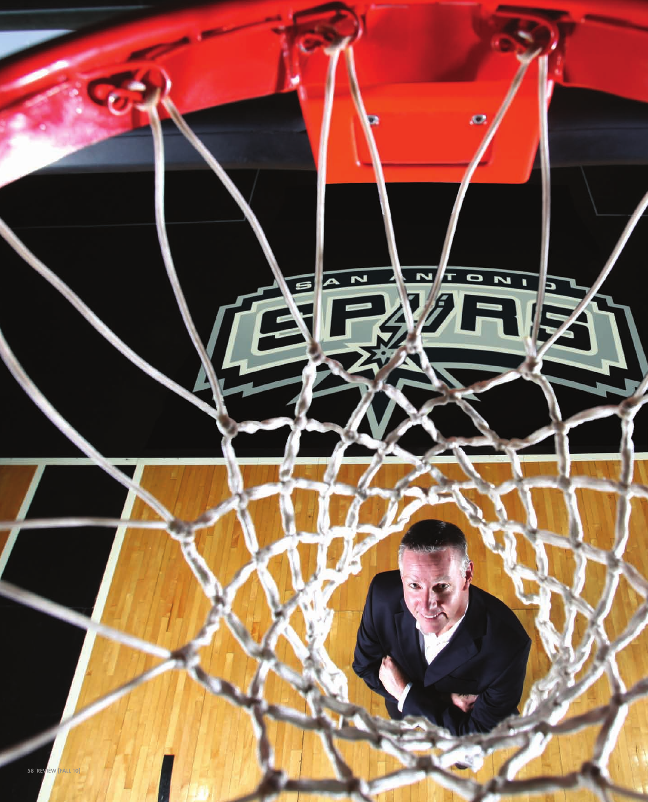